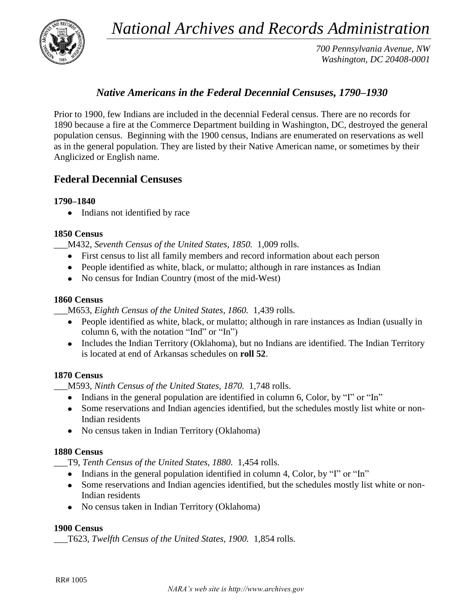*National Archives and Records Administration*



*700 Pennsylvania Avenue, NW Washington, DC 20408-0001*

# *Native Americans in the Federal Decennial Censuses, 1790–1930*

Prior to 1900, few Indians are included in the decennial Federal census. There are no records for 1890 because a fire at the Commerce Department building in Washington, DC, destroyed the general population census. Beginning with the 1900 census, Indians are enumerated on reservations as well as in the general population. They are listed by their Native American name, or sometimes by their Anglicized or English name.

# **Federal Decennial Censuses**

## **1790–1840**

• Indians not identified by race

## **1850 Census**

\_\_\_M432, *Seventh Census of the United States, 1850.* 1,009 rolls.

- First census to list all family members and record information about each person
- People identified as white, black, or mulatto; although in rare instances as Indian
- No census for Indian Country (most of the mid-West)

#### **1860 Census**

\_\_\_M653, *Eighth Census of the United States, 1860.* 1,439 rolls.

- People identified as white, black, or mulatto; although in rare instances as Indian (usually in column 6, with the notation "Ind" or "In")
- Includes the Indian Territory (Oklahoma), but no Indians are identified. The Indian Territory is located at end of Arkansas schedules on **roll 52**.

#### **1870 Census**

\_\_\_M593, *Ninth Census of the United States, 1870.* 1,748 rolls.

- Indians in the general population are identified in column 6, Color, by "I" or "In"
- Some reservations and Indian agencies identified, but the schedules mostly list white or non-Indian residents
- No census taken in Indian Territory (Oklahoma)

#### **1880 Census**

\_\_\_T9, *Tenth Census of the United States, 1880.* 1,454 rolls.

- Indians in the general population identified in column 4, Color, by "I" or "In"
- Some reservations and Indian agencies identified, but the schedules mostly list white or non-Indian residents
- No census taken in Indian Territory (Oklahoma)

#### **1900 Census**

\_\_\_T623, *Twelfth Census of the United States, 1900.* 1,854 rolls.